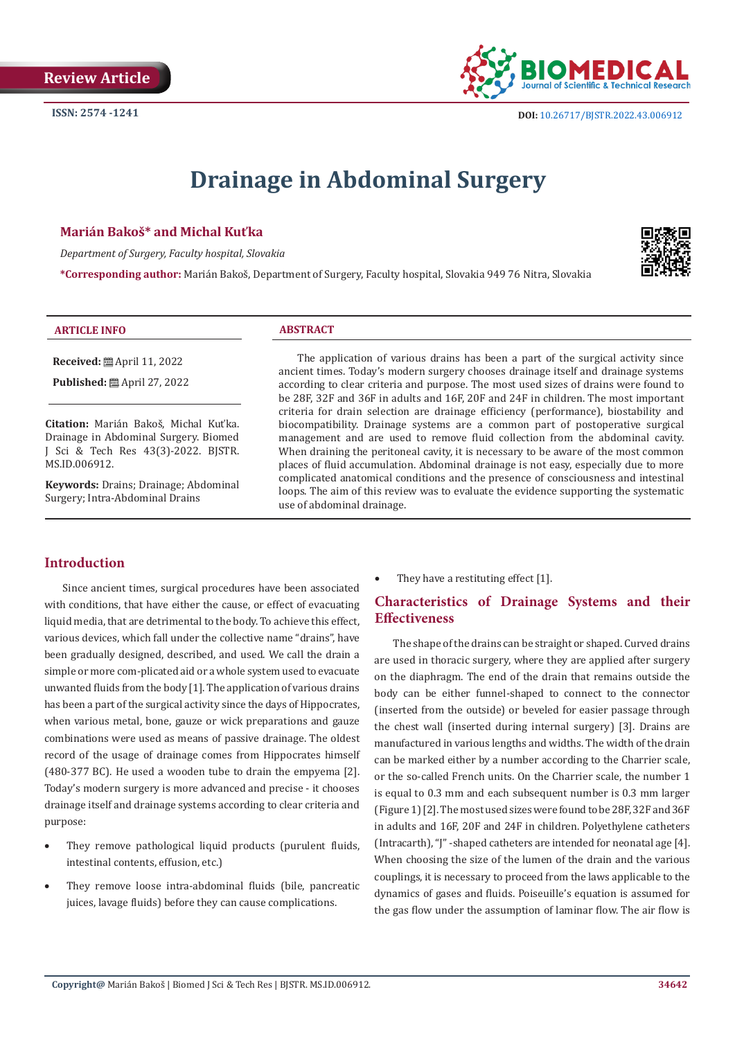

# **Drainage in Abdominal Surgery**

## **Marián Bakoš\* and Michal Kuťka**

*Department of Surgery, Faculty hospital, Slovakia*

**\*Corresponding author:** Marián Bakoš, Department of Surgery, Faculty hospital, Slovakia 949 76 Nitra, Slovakia



#### **ARTICLE INFO ABSTRACT**

**Received:** April 11, 2022 **Published:** ■ April 27, 2022

**Citation:** Marián Bakoš, Michal Kuťka. Drainage in Abdominal Surgery. Biomed J Sci & Tech Res 43(3)-2022. BJSTR. MS.ID.006912.

**Keywords:** Drains; Drainage; Abdominal Surgery; Intra-Abdominal Drains

The application of various drains has been a part of the surgical activity since ancient times. Today's modern surgery chooses drainage itself and drainage systems according to clear criteria and purpose. The most used sizes of drains were found to be 28F, 32F and 36F in adults and 16F, 20F and 24F in children. The most important criteria for drain selection are drainage efficiency (performance), biostability and biocompatibility. Drainage systems are a common part of postoperative surgical management and are used to remove fluid collection from the abdominal cavity. When draining the peritoneal cavity, it is necessary to be aware of the most common places of fluid accumulation. Abdominal drainage is not easy, especially due to more complicated anatomical conditions and the presence of consciousness and intestinal loops. The aim of this review was to evaluate the evidence supporting the systematic use of abdominal drainage.

# **Introduction**

Since ancient times, surgical procedures have been associated with conditions, that have either the cause, or effect of evacuating liquid media, that are detrimental to the body. To achieve this effect, various devices, which fall under the collective name "drains", have been gradually designed, described, and used. We call the drain a simple or more com-plicated aid or a whole system used to evacuate unwanted fluids from the body [1]. The application of various drains has been a part of the surgical activity since the days of Hippocrates, when various metal, bone, gauze or wick preparations and gauze combinations were used as means of passive drainage. The oldest record of the usage of drainage comes from Hippocrates himself (480-377 BC). He used a wooden tube to drain the empyema [2]. Today's modern surgery is more advanced and precise - it chooses drainage itself and drainage systems according to clear criteria and purpose:

- They remove pathological liquid products (purulent fluids, intestinal contents, effusion, etc.)
- They remove loose intra-abdominal fluids (bile, pancreatic juices, lavage fluids) before they can cause complications.

They have a restituting effect [1].

# **Characteristics of Drainage Systems and their Effectiveness**

The shape of the drains can be straight or shaped. Curved drains are used in thoracic surgery, where they are applied after surgery on the diaphragm. The end of the drain that remains outside the body can be either funnel-shaped to connect to the connector (inserted from the outside) or beveled for easier passage through the chest wall (inserted during internal surgery) [3]. Drains are manufactured in various lengths and widths. The width of the drain can be marked either by a number according to the Charrier scale, or the so-called French units. On the Charrier scale, the number 1 is equal to 0.3 mm and each subsequent number is 0.3 mm larger (Figure 1) [2]. The most used sizes were found to be 28F, 32F and 36F in adults and 16F, 20F and 24F in children. Polyethylene catheters (Intracarth), "J" -shaped catheters are intended for neonatal age [4]. When choosing the size of the lumen of the drain and the various couplings, it is necessary to proceed from the laws applicable to the dynamics of gases and fluids. Poiseuille's equation is assumed for the gas flow under the assumption of laminar flow. The air flow is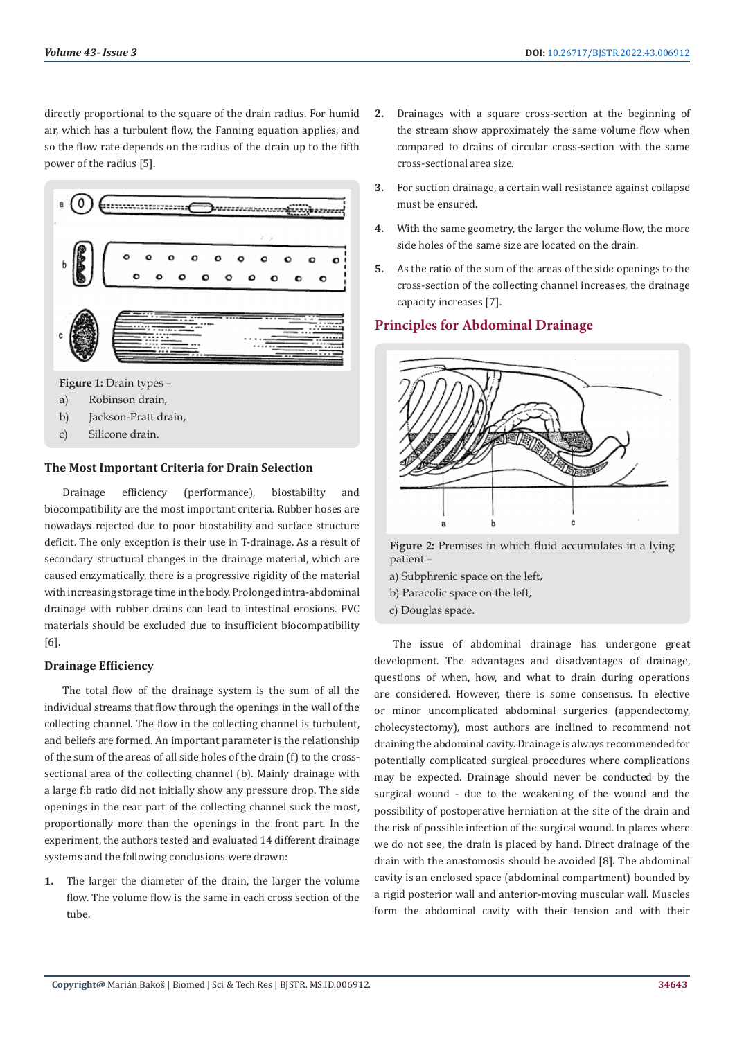directly proportional to the square of the drain radius. For humid air, which has a turbulent flow, the Fanning equation applies, and so the flow rate depends on the radius of the drain up to the fifth power of the radius [5].



# **The Most Important Criteria for Drain Selection**

Drainage efficiency (performance), biostability and biocompatibility are the most important criteria. Rubber hoses are nowadays rejected due to poor biostability and surface structure deficit. The only exception is their use in T-drainage. As a result of secondary structural changes in the drainage material, which are caused enzymatically, there is a progressive rigidity of the material with increasing storage time in the body. Prolonged intra-abdominal drainage with rubber drains can lead to intestinal erosions. PVC materials should be excluded due to insufficient biocompatibility [6].

## **Drainage Efficiency**

The total flow of the drainage system is the sum of all the individual streams that flow through the openings in the wall of the collecting channel. The flow in the collecting channel is turbulent, and beliefs are formed. An important parameter is the relationship of the sum of the areas of all side holes of the drain (f) to the crosssectional area of the collecting channel (b). Mainly drainage with a large f:b ratio did not initially show any pressure drop. The side openings in the rear part of the collecting channel suck the most, proportionally more than the openings in the front part. In the experiment, the authors tested and evaluated 14 different drainage systems and the following conclusions were drawn:

**1.** The larger the diameter of the drain, the larger the volume flow. The volume flow is the same in each cross section of the tube.

- **2.** Drainages with a square cross-section at the beginning of the stream show approximately the same volume flow when compared to drains of circular cross-section with the same cross-sectional area size.
- **3.** For suction drainage, a certain wall resistance against collapse must be ensured.
- **4.** With the same geometry, the larger the volume flow, the more side holes of the same size are located on the drain.
- **5.** As the ratio of the sum of the areas of the side openings to the cross-section of the collecting channel increases, the drainage capacity increases [7].

# **Principles for Abdominal Drainage**



**Figure 2:** Premises in which fluid accumulates in a lying patient –

- a) Subphrenic space on the left,
- b) Paracolic space on the left,
- c) Douglas space.

The issue of abdominal drainage has undergone great development. The advantages and disadvantages of drainage, questions of when, how, and what to drain during operations are considered. However, there is some consensus. In elective or minor uncomplicated abdominal surgeries (appendectomy, cholecystectomy), most authors are inclined to recommend not draining the abdominal cavity. Drainage is always recommended for potentially complicated surgical procedures where complications may be expected. Drainage should never be conducted by the surgical wound - due to the weakening of the wound and the possibility of postoperative herniation at the site of the drain and the risk of possible infection of the surgical wound. In places where we do not see, the drain is placed by hand. Direct drainage of the drain with the anastomosis should be avoided [8]. The abdominal cavity is an enclosed space (abdominal compartment) bounded by a rigid posterior wall and anterior-moving muscular wall. Muscles form the abdominal cavity with their tension and with their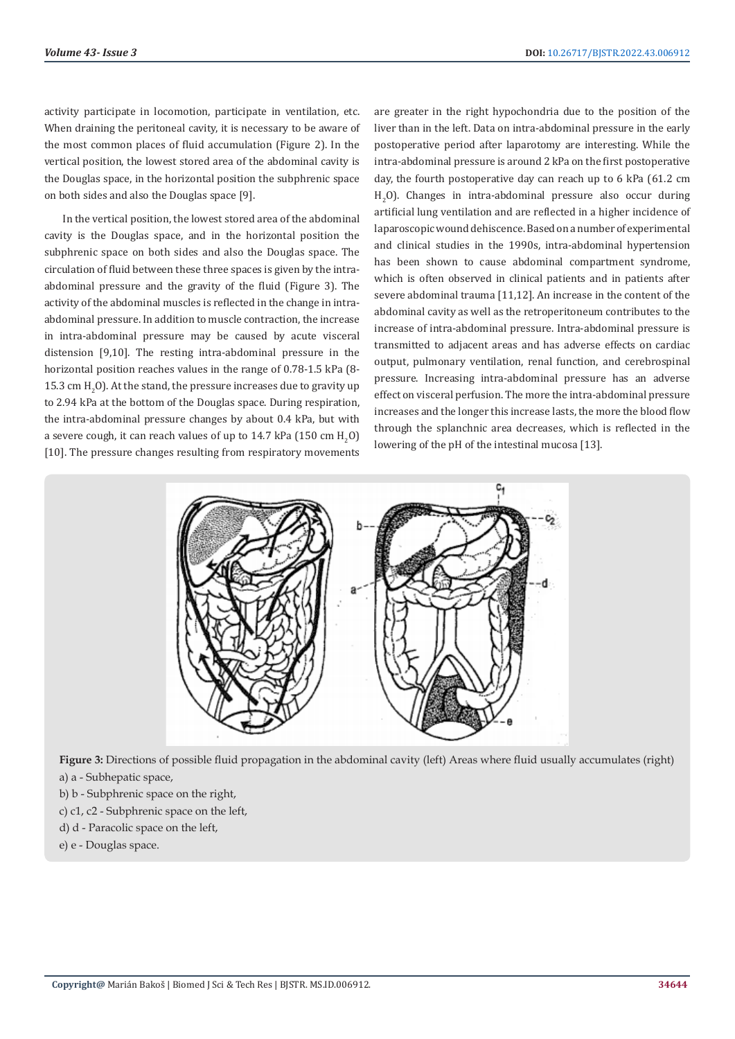activity participate in locomotion, participate in ventilation, etc. When draining the peritoneal cavity, it is necessary to be aware of the most common places of fluid accumulation (Figure 2). In the vertical position, the lowest stored area of the abdominal cavity is the Douglas space, in the horizontal position the subphrenic space on both sides and also the Douglas space [9].

In the vertical position, the lowest stored area of the abdominal cavity is the Douglas space, and in the horizontal position the subphrenic space on both sides and also the Douglas space. The circulation of fluid between these three spaces is given by the intraabdominal pressure and the gravity of the fluid (Figure 3). The activity of the abdominal muscles is reflected in the change in intraabdominal pressure. In addition to muscle contraction, the increase in intra-abdominal pressure may be caused by acute visceral distension [9,10]. The resting intra-abdominal pressure in the horizontal position reaches values in the range of 0.78-1.5 kPa (8-  $15.3$  cm  $H_2O$ ). At the stand, the pressure increases due to gravity up to 2.94 kPa at the bottom of the Douglas space. During respiration, the intra-abdominal pressure changes by about 0.4 kPa, but with a severe cough, it can reach values of up to  $14.7$  kPa (150 cm  $\rm H_2O$ ) [10]. The pressure changes resulting from respiratory movements

are greater in the right hypochondria due to the position of the liver than in the left. Data on intra-abdominal pressure in the early postoperative period after laparotomy are interesting. While the intra-abdominal pressure is around 2 kPa on the first postoperative day, the fourth postoperative day can reach up to 6 kPa (61.2 cm  $H<sub>2</sub>$ O). Changes in intra-abdominal pressure also occur during artificial lung ventilation and are reflected in a higher incidence of laparoscopic wound dehiscence. Based on a number of experimental and clinical studies in the 1990s, intra-abdominal hypertension has been shown to cause abdominal compartment syndrome, which is often observed in clinical patients and in patients after severe abdominal trauma [11,12]. An increase in the content of the abdominal cavity as well as the retroperitoneum contributes to the increase of intra-abdominal pressure. Intra-abdominal pressure is transmitted to adjacent areas and has adverse effects on cardiac output, pulmonary ventilation, renal function, and cerebrospinal pressure. Increasing intra-abdominal pressure has an adverse effect on visceral perfusion. The more the intra-abdominal pressure increases and the longer this increase lasts, the more the blood flow through the splanchnic area decreases, which is reflected in the lowering of the pH of the intestinal mucosa [13].



**Figure 3:** Directions of possible fluid propagation in the abdominal cavity (left) Areas where fluid usually accumulates (right) a) a - Subhepatic space,

- 
- b) b Subphrenic space on the right,
- c) c1, c2 Subphrenic space on the left,
- d) d Paracolic space on the left,
- e) e Douglas space.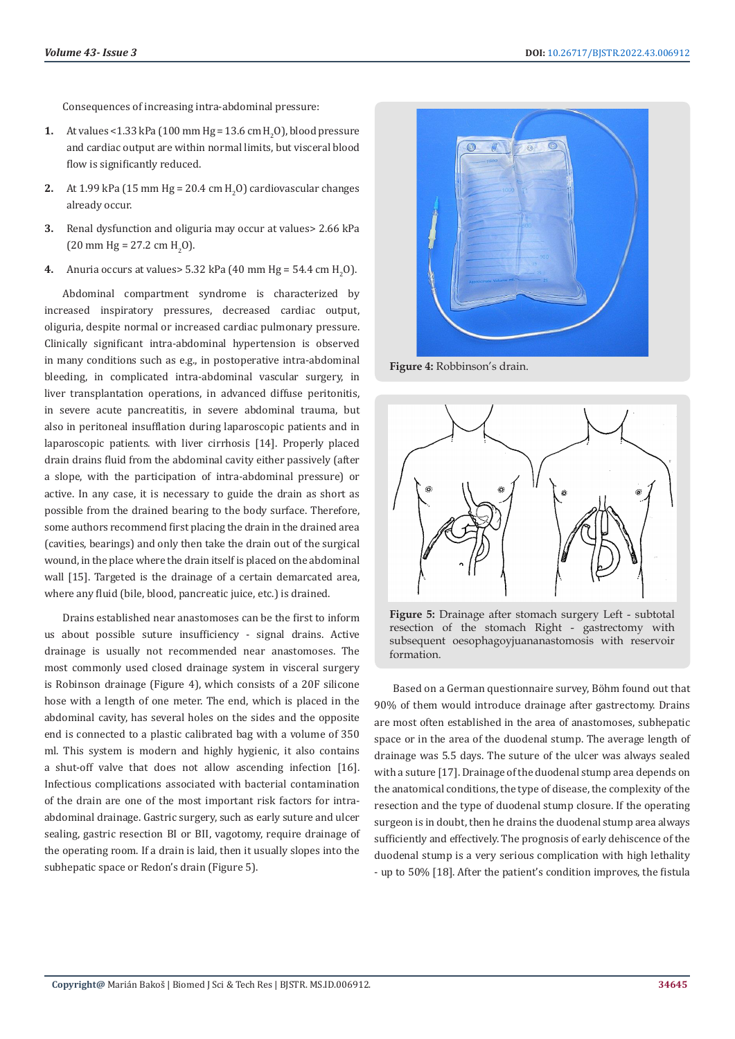Consequences of increasing intra-abdominal pressure:

- **1.** At values <1.33 kPa (100 mm Hg = 13.6 cm  $H_2$ 0), blood pressure and cardiac output are within normal limits, but visceral blood flow is significantly reduced.
- **2.** At 1.99 kPa (15 mm Hg =  $20.4 \text{ cm H}_2\text{O}$ ) cardiovascular changes already occur.
- **3.** Renal dysfunction and oliguria may occur at values> 2.66 kPa  $(20 \text{ mm Hg} = 27.2 \text{ cm H}_2\text{O}).$
- **4.** Anuria occurs at values >  $5.32$  kPa (40 mm Hg =  $54.4$  cm H<sub>2</sub>O).

Abdominal compartment syndrome is characterized by increased inspiratory pressures, decreased cardiac output, oliguria, despite normal or increased cardiac pulmonary pressure. Clinically significant intra-abdominal hypertension is observed in many conditions such as e.g., in postoperative intra-abdominal bleeding, in complicated intra-abdominal vascular surgery, in liver transplantation operations, in advanced diffuse peritonitis, in severe acute pancreatitis, in severe abdominal trauma, but also in peritoneal insufflation during laparoscopic patients and in laparoscopic patients. with liver cirrhosis [14]. Properly placed drain drains fluid from the abdominal cavity either passively (after a slope, with the participation of intra-abdominal pressure) or active. In any case, it is necessary to guide the drain as short as possible from the drained bearing to the body surface. Therefore, some authors recommend first placing the drain in the drained area (cavities, bearings) and only then take the drain out of the surgical wound, in the place where the drain itself is placed on the abdominal wall [15]. Targeted is the drainage of a certain demarcated area, where any fluid (bile, blood, pancreatic juice, etc.) is drained.

Drains established near anastomoses can be the first to inform us about possible suture insufficiency - signal drains. Active drainage is usually not recommended near anastomoses. The most commonly used closed drainage system in visceral surgery is Robinson drainage (Figure 4), which consists of a 20F silicone hose with a length of one meter. The end, which is placed in the abdominal cavity, has several holes on the sides and the opposite end is connected to a plastic calibrated bag with a volume of 350 ml. This system is modern and highly hygienic, it also contains a shut-off valve that does not allow ascending infection [16]. Infectious complications associated with bacterial contamination of the drain are one of the most important risk factors for intraabdominal drainage. Gastric surgery, such as early suture and ulcer sealing, gastric resection BI or BII, vagotomy, require drainage of the operating room. If a drain is laid, then it usually slopes into the subhepatic space or Redon's drain (Figure 5).



**Figure 4:** Robbinson's drain.



**Figure 5:** Drainage after stomach surgery Left - subtotal resection of the stomach Right - gastrectomy with subsequent oesophagoyjuananastomosis with reservoir formation.

Based on a German questionnaire survey, Böhm found out that 90% of them would introduce drainage after gastrectomy. Drains are most often established in the area of anastomoses, subhepatic space or in the area of the duodenal stump. The average length of drainage was 5.5 days. The suture of the ulcer was always sealed with a suture [17]. Drainage of the duodenal stump area depends on the anatomical conditions, the type of disease, the complexity of the resection and the type of duodenal stump closure. If the operating surgeon is in doubt, then he drains the duodenal stump area always sufficiently and effectively. The prognosis of early dehiscence of the duodenal stump is a very serious complication with high lethality - up to 50% [18]. After the patient's condition improves, the fistula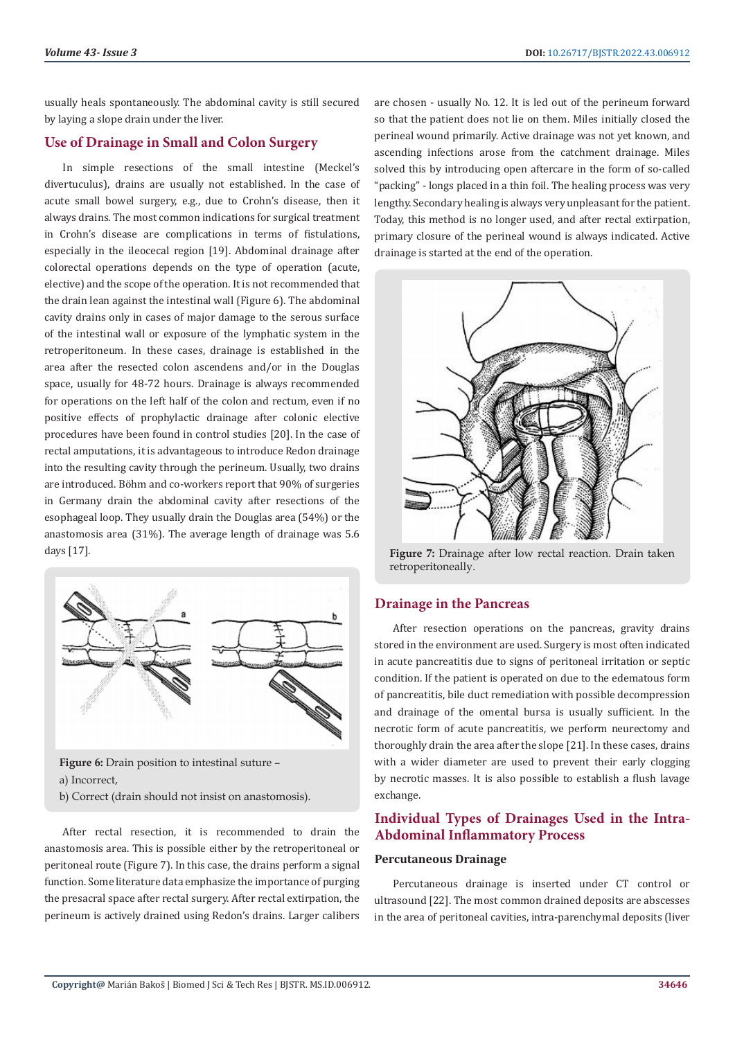usually heals spontaneously. The abdominal cavity is still secured by laying a slope drain under the liver.

# **Use of Drainage in Small and Colon Surgery**

In simple resections of the small intestine (Meckel's divertuculus), drains are usually not established. In the case of acute small bowel surgery, e.g., due to Crohn's disease, then it always drains. The most common indications for surgical treatment in Crohn's disease are complications in terms of fistulations, especially in the ileocecal region [19]. Abdominal drainage after colorectal operations depends on the type of operation (acute, elective) and the scope of the operation. It is not recommended that the drain lean against the intestinal wall (Figure 6). The abdominal cavity drains only in cases of major damage to the serous surface of the intestinal wall or exposure of the lymphatic system in the retroperitoneum. In these cases, drainage is established in the area after the resected colon ascendens and/or in the Douglas space, usually for 48-72 hours. Drainage is always recommended for operations on the left half of the colon and rectum, even if no positive effects of prophylactic drainage after colonic elective procedures have been found in control studies [20]. In the case of rectal amputations, it is advantageous to introduce Redon drainage into the resulting cavity through the perineum. Usually, two drains are introduced. Böhm and co-workers report that 90% of surgeries in Germany drain the abdominal cavity after resections of the esophageal loop. They usually drain the Douglas area (54%) or the anastomosis area (31%). The average length of drainage was 5.6 days [17].



**Figure 6:** Drain position to intestinal suture –

a) Incorrect,

b) Correct (drain should not insist on anastomosis).

After rectal resection, it is recommended to drain the anastomosis area. This is possible either by the retroperitoneal or peritoneal route (Figure 7). In this case, the drains perform a signal function. Some literature data emphasize the importance of purging the presacral space after rectal surgery. After rectal extirpation, the perineum is actively drained using Redon's drains. Larger calibers

are chosen - usually No. 12. It is led out of the perineum forward so that the patient does not lie on them. Miles initially closed the perineal wound primarily. Active drainage was not yet known, and ascending infections arose from the catchment drainage. Miles solved this by introducing open aftercare in the form of so-called "packing" - longs placed in a thin foil. The healing process was very lengthy. Secondary healing is always very unpleasant for the patient. Today, this method is no longer used, and after rectal extirpation, primary closure of the perineal wound is always indicated. Active drainage is started at the end of the operation.



**Figure 7:** Drainage after low rectal reaction. Drain taken retroperitoneally.

# **Drainage in the Pancreas**

After resection operations on the pancreas, gravity drains stored in the environment are used. Surgery is most often indicated in acute pancreatitis due to signs of peritoneal irritation or septic condition. If the patient is operated on due to the edematous form of pancreatitis, bile duct remediation with possible decompression and drainage of the omental bursa is usually sufficient. In the necrotic form of acute pancreatitis, we perform neurectomy and thoroughly drain the area after the slope [21]. In these cases, drains with a wider diameter are used to prevent their early clogging by necrotic masses. It is also possible to establish a flush lavage exchange.

# **Individual Types of Drainages Used in the Intra-Abdominal Inflammatory Process**

# **Percutaneous Drainage**

Percutaneous drainage is inserted under CT control or ultrasound [22]. The most common drained deposits are abscesses in the area of peritoneal cavities, intra-parenchymal deposits (liver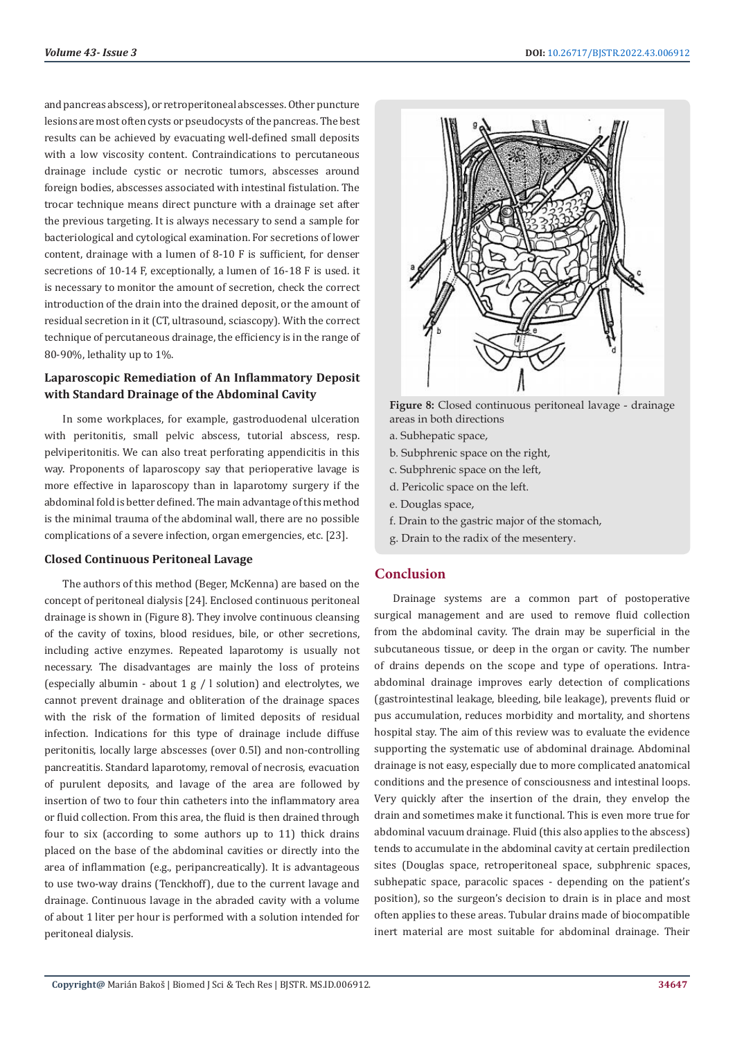and pancreas abscess), or retroperitoneal abscesses. Other puncture lesions are most often cysts or pseudocysts of the pancreas. The best results can be achieved by evacuating well-defined small deposits with a low viscosity content. Contraindications to percutaneous drainage include cystic or necrotic tumors, abscesses around foreign bodies, abscesses associated with intestinal fistulation. The trocar technique means direct puncture with a drainage set after the previous targeting. It is always necessary to send a sample for bacteriological and cytological examination. For secretions of lower content, drainage with a lumen of 8-10 F is sufficient, for denser secretions of 10-14 F, exceptionally, a lumen of 16-18 F is used. it is necessary to monitor the amount of secretion, check the correct introduction of the drain into the drained deposit, or the amount of residual secretion in it (CT, ultrasound, sciascopy). With the correct technique of percutaneous drainage, the efficiency is in the range of 80-90%, lethality up to 1%.

# **Laparoscopic Remediation of An Inflammatory Deposit with Standard Drainage of the Abdominal Cavity**

In some workplaces, for example, gastroduodenal ulceration with peritonitis, small pelvic abscess, tutorial abscess, resp. pelviperitonitis. We can also treat perforating appendicitis in this way. Proponents of laparoscopy say that perioperative lavage is more effective in laparoscopy than in laparotomy surgery if the abdominal fold is better defined. The main advantage of this method is the minimal trauma of the abdominal wall, there are no possible complications of a severe infection, organ emergencies, etc. [23].

#### **Closed Continuous Peritoneal Lavage**

The authors of this method (Beger, McKenna) are based on the concept of peritoneal dialysis [24]. Enclosed continuous peritoneal drainage is shown in (Figure 8). They involve continuous cleansing of the cavity of toxins, blood residues, bile, or other secretions, including active enzymes. Repeated laparotomy is usually not necessary. The disadvantages are mainly the loss of proteins (especially albumin - about  $1 g / l$  solution) and electrolytes, we cannot prevent drainage and obliteration of the drainage spaces with the risk of the formation of limited deposits of residual infection. Indications for this type of drainage include diffuse peritonitis, locally large abscesses (over 0.5l) and non-controlling pancreatitis. Standard laparotomy, removal of necrosis, evacuation of purulent deposits, and lavage of the area are followed by insertion of two to four thin catheters into the inflammatory area or fluid collection. From this area, the fluid is then drained through four to six (according to some authors up to 11) thick drains placed on the base of the abdominal cavities or directly into the area of inflammation (e.g., peripancreatically). It is advantageous to use two-way drains (Tenckhoff), due to the current lavage and drainage. Continuous lavage in the abraded cavity with a volume of about 1 liter per hour is performed with a solution intended for peritoneal dialysis.



**Figure 8:** Closed continuous peritoneal lavage - drainage areas in both directions

- a. Subhepatic space,
- b. Subphrenic space on the right,
- c. Subphrenic space on the left,
- d. Pericolic space on the left.
- e. Douglas space,
- f. Drain to the gastric major of the stomach,
- g. Drain to the radix of the mesentery.

#### **Conclusion**

Drainage systems are a common part of postoperative surgical management and are used to remove fluid collection from the abdominal cavity. The drain may be superficial in the subcutaneous tissue, or deep in the organ or cavity. The number of drains depends on the scope and type of operations. Intraabdominal drainage improves early detection of complications (gastrointestinal leakage, bleeding, bile leakage), prevents fluid or pus accumulation, reduces morbidity and mortality, and shortens hospital stay. The aim of this review was to evaluate the evidence supporting the systematic use of abdominal drainage. Abdominal drainage is not easy, especially due to more complicated anatomical conditions and the presence of consciousness and intestinal loops. Very quickly after the insertion of the drain, they envelop the drain and sometimes make it functional. This is even more true for abdominal vacuum drainage. Fluid (this also applies to the abscess) tends to accumulate in the abdominal cavity at certain predilection sites (Douglas space, retroperitoneal space, subphrenic spaces, subhepatic space, paracolic spaces - depending on the patient's position), so the surgeon's decision to drain is in place and most often applies to these areas. Tubular drains made of biocompatible inert material are most suitable for abdominal drainage. Their